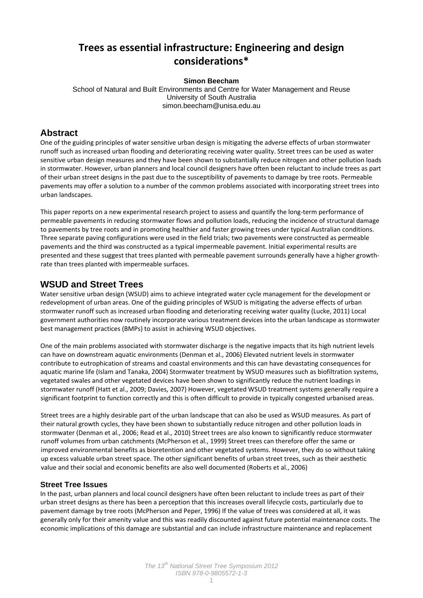# **Trees as essential infrastructure: Engineering and design considerations\***

#### **Simon Beecham**

School of Natural and Built Environments and Centre for Water Management and Reuse University of South Australia simon.beecham@unisa.edu.au

### **Abstract**

One of the guiding principles of water sensitive urban design is mitigating the adverse effects of urban stormwater runoff such as increased urban flooding and deteriorating receiving water quality. Street trees can be used as water sensitive urban design measures and they have been shown to substantially reduce nitrogen and other pollution loads in stormwater. However, urban planners and local council designers have often been reluctant to include trees as part of their urban street designs in the past due to the susceptibility of pavements to damage by tree roots. Permeable pavements may offer a solution to a number of the common problems associated with incorporating street trees into urban landscapes.

This paper reports on a new experimental research project to assess and quantify the long‐term performance of permeable pavements in reducing stormwater flows and pollution loads, reducing the incidence of structural damage to pavements by tree roots and in promoting healthier and faster growing trees under typical Australian conditions. Three separate paving configurations were used in the field trials; two pavements were constructed as permeable pavements and the third was constructed as a typical impermeable pavement. Initial experimental results are presented and these suggest that trees planted with permeable pavement surrounds generally have a higher growth‐ rate than trees planted with impermeable surfaces.

## **WSUD and Street Trees**

Water sensitive urban design (WSUD) aims to achieve integrated water cycle management for the development or redevelopment of urban areas. One of the guiding principles of WSUD is mitigating the adverse effects of urban stormwater runoff such as increased urban flooding and deteriorating receiving water quality (Lucke, 2011) Local government authorities now routinely incorporate various treatment devices into the urban landscape as stormwater best management practices (BMPs) to assist in achieving WSUD objectives.

One of the main problems associated with stormwater discharge is the negative impacts that its high nutrient levels can have on downstream aquatic environments (Denman et al., 2006) Elevated nutrient levels in stormwater contribute to eutrophication of streams and coastal environments and this can have devastating consequences for aquatic marine life (Islam and Tanaka, 2004) Stormwater treatment by WSUD measures such as biofiltration systems, vegetated swales and other vegetated devices have been shown to significantly reduce the nutrient loadings in stormwater runoff (Hatt et al., 2009; Davies, 2007) However, vegetated WSUD treatment systems generally require a significant footprint to function correctly and this is often difficult to provide in typically congested urbanised areas.

Street trees are a highly desirable part of the urban landscape that can also be used as WSUD measures. As part of their natural growth cycles, they have been shown to substantially reduce nitrogen and other pollution loads in stormwater (Denman et al., 2006; Read et al., 2010) Street trees are also known to significantly reduce stormwater runoff volumes from urban catchments (McPherson et al., 1999) Street trees can therefore offer the same or improved environmental benefits as bioretention and other vegetated systems. However, they do so without taking up excess valuable urban street space. The other significant benefits of urban street trees, such as their aesthetic value and their social and economic benefits are also well documented (Roberts et al., 2006)

#### **Street Tree Issues**

In the past, urban planners and local council designers have often been reluctant to include trees as part of their urban street designs as there has been a perception that this increases overall lifecycle costs, particularly due to pavement damage by tree roots (McPherson and Peper, 1996) If the value of trees was considered at all, it was generally only for their amenity value and this was readily discounted against future potential maintenance costs. The economic implications of this damage are substantial and can include infrastructure maintenance and replacement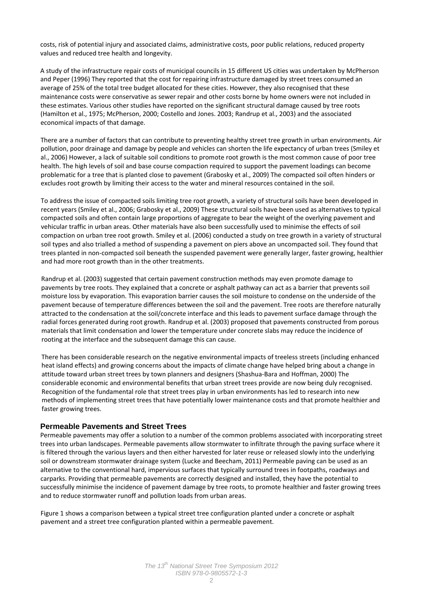costs, risk of potential injury and associated claims, administrative costs, poor public relations, reduced property values and reduced tree health and longevity.

A study of the infrastructure repair costs of municipal councils in 15 different US cities was undertaken by McPherson and Peper (1996) They reported that the cost for repairing infrastructure damaged by street trees consumed an average of 25% of the total tree budget allocated for these cities. However, they also recognised that these maintenance costs were conservative as sewer repair and other costs borne by home owners were not included in these estimates. Various other studies have reported on the significant structural damage caused by tree roots (Hamilton et al., 1975; McPherson, 2000; Costello and Jones. 2003; Randrup et al., 2003) and the associated economical impacts of that damage.

There are a number of factors that can contribute to preventing healthy street tree growth in urban environments. Air pollution, poor drainage and damage by people and vehicles can shorten the life expectancy of urban trees (Smiley et al., 2006) However, a lack of suitable soil conditions to promote root growth is the most common cause of poor tree health. The high levels of soil and base course compaction required to support the pavement loadings can become problematic for a tree that is planted close to pavement (Grabosky et al., 2009) The compacted soil often hinders or excludes root growth by limiting their access to the water and mineral resources contained in the soil.

To address the issue of compacted soils limiting tree root growth, a variety of structural soils have been developed in recent years (Smiley et al., 2006; Grabosky et al., 2009) These structural soils have been used as alternatives to typical compacted soils and often contain large proportions of aggregate to bear the weight of the overlying pavement and vehicular traffic in urban areas. Other materials have also been successfully used to minimise the effects of soil compaction on urban tree root growth. Smiley et al. (2006) conducted a study on tree growth in a variety of structural soil types and also trialled a method of suspending a pavement on piers above an uncompacted soil. They found that trees planted in non‐compacted soil beneath the suspended pavement were generally larger, faster growing, healthier and had more root growth than in the other treatments.

Randrup et al. (2003) suggested that certain pavement construction methods may even promote damage to pavements by tree roots. They explained that a concrete or asphalt pathway can act as a barrier that prevents soil moisture loss by evaporation. This evaporation barrier causes the soil moisture to condense on the underside of the pavement because of temperature differences between the soil and the pavement. Tree roots are therefore naturally attracted to the condensation at the soil/concrete interface and this leads to pavement surface damage through the radial forces generated during root growth. Randrup et al. (2003) proposed that pavements constructed from porous materials that limit condensation and lower the temperature under concrete slabs may reduce the incidence of rooting at the interface and the subsequent damage this can cause.

There has been considerable research on the negative environmental impacts of treeless streets (including enhanced heat island effects) and growing concerns about the impacts of climate change have helped bring about a change in attitude toward urban street trees by town planners and designers (Shashua‐Bara and Hoffman, 2000) The considerable economic and environmental benefits that urban street trees provide are now being duly recognised. Recognition of the fundamental role that street trees play in urban environments has led to research into new methods of implementing street trees that have potentially lower maintenance costs and that promote healthier and faster growing trees.

#### **Permeable Pavements and Street Trees**

Permeable pavements may offer a solution to a number of the common problems associated with incorporating street trees into urban landscapes. Permeable pavements allow stormwater to infiltrate through the paving surface where it is filtered through the various layers and then either harvested for later reuse or released slowly into the underlying soil or downstream stormwater drainage system (Lucke and Beecham, 2011) Permeable paving can be used as an alternative to the conventional hard, impervious surfaces that typically surround trees in footpaths, roadways and carparks. Providing that permeable pavements are correctly designed and installed, they have the potential to successfully minimise the incidence of pavement damage by tree roots, to promote healthier and faster growing trees and to reduce stormwater runoff and pollution loads from urban areas.

Figure 1 shows a comparison between a typical street tree configuration planted under a concrete or asphalt pavement and a street tree configuration planted within a permeable pavement.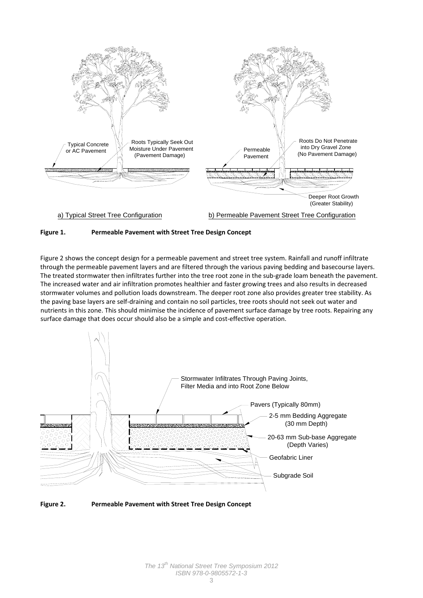



Figure 2 shows the concept design for a permeable pavement and street tree system. Rainfall and runoff infiltrate through the permeable pavement layers and are filtered through the various paving bedding and basecourse layers. The treated stormwater then infiltrates further into the tree root zone in the sub-grade loam beneath the pavement. The increased water and air infiltration promotes healthier and faster growing trees and also results in decreased stormwater volumes and pollution loads downstream. The deeper root zone also provides greater tree stability. As the paving base layers are self‐draining and contain no soil particles, tree roots should not seek out water and nutrients in this zone. This should minimise the incidence of pavement surface damage by tree roots. Repairing any surface damage that does occur should also be a simple and cost-effective operation.



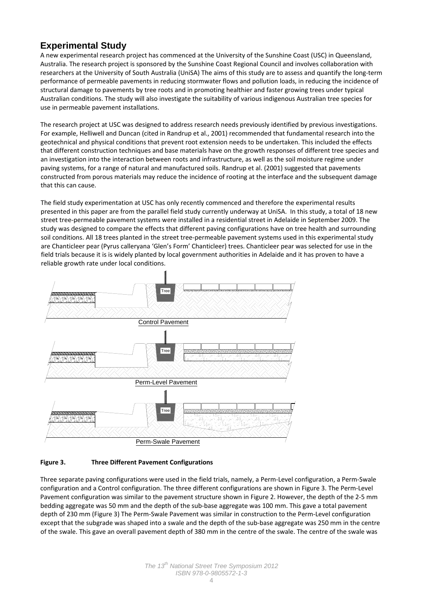## **Experimental Study**

A new experimental research project has commenced at the University of the Sunshine Coast (USC) in Queensland, Australia. The research project is sponsored by the Sunshine Coast Regional Council and involves collaboration with researchers at the University of South Australia (UniSA) The aims of this study are to assess and quantify the long‐term performance of permeable pavements in reducing stormwater flows and pollution loads, in reducing the incidence of structural damage to pavements by tree roots and in promoting healthier and faster growing trees under typical Australian conditions. The study will also investigate the suitability of various indigenous Australian tree species for use in permeable pavement installations.

The research project at USC was designed to address research needs previously identified by previous investigations. For example, Helliwell and Duncan (cited in Randrup et al., 2001) recommended that fundamental research into the geotechnical and physical conditions that prevent root extension needs to be undertaken. This included the effects that different construction techniques and base materials have on the growth responses of different tree species and an investigation into the interaction between roots and infrastructure, as well as the soil moisture regime under paving systems, for a range of natural and manufactured soils. Randrup et al. (2001) suggested that pavements constructed from porous materials may reduce the incidence of rooting at the interface and the subsequent damage that this can cause.

The field study experimentation at USC has only recently commenced and therefore the experimental results presented in this paper are from the parallel field study currently underway at UniSA. In this study, a total of 18 new street tree‐permeable pavement systems were installed in a residential street in Adelaide in September 2009. The study was designed to compare the effects that different paving configurations have on tree health and surrounding soil conditions. All 18 trees planted in the street tree-permeable pavement systems used in this experimental study are Chanticleer pear (Pyrus calleryana 'Glen's Form' Chanticleer) trees. Chanticleer pear was selected for use in the field trials because it is is widely planted by local government authorities in Adelaide and it has proven to have a reliable growth rate under local conditions.



#### **Figure 3. Three Different Pavement Configurations**

Three separate paving configurations were used in the field trials, namely, a Perm‐Level configuration, a Perm‐Swale configuration and a Control configuration. The three different configurations are shown in Figure 3. The Perm‐Level Pavement configuration was similar to the pavement structure shown in Figure 2. However, the depth of the 2‐5 mm bedding aggregate was 50 mm and the depth of the sub‐base aggregate was 100 mm. This gave a total pavement depth of 230 mm (Figure 3) The Perm‐Swale Pavement was similar in construction to the Perm‐Level configuration except that the subgrade was shaped into a swale and the depth of the sub-base aggregate was 250 mm in the centre of the swale. This gave an overall pavement depth of 380 mm in the centre of the swale. The centre of the swale was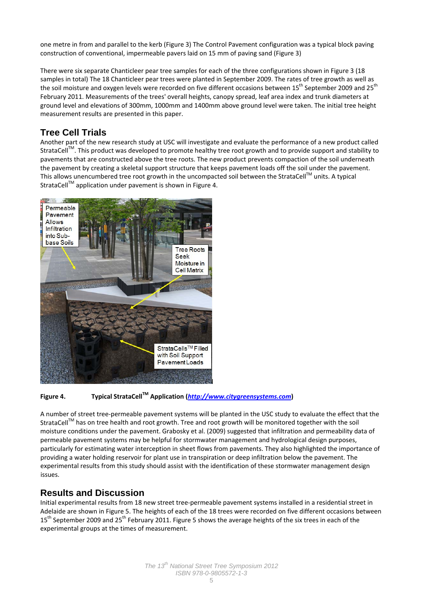one metre in from and parallel to the kerb (Figure 3) The Control Pavement configuration was a typical block paving construction of conventional, impermeable pavers laid on 15 mm of paving sand (Figure 3)

There were six separate Chanticleer pear tree samples for each of the three configurations shown in Figure 3 (18 samples in total) The 18 Chanticleer pear trees were planted in September 2009. The rates of tree growth as well as the soil moisture and oxygen levels were recorded on five different occasions between  $15^{th}$  September 2009 and  $25^{th}$ February 2011. Measurements of the trees' overall heights, canopy spread, leaf area index and trunk diameters at ground level and elevations of 300mm, 1000mm and 1400mm above ground level were taken. The initial tree height measurement results are presented in this paper.

## **Tree Cell Trials**

Another part of the new research study at USC will investigate and evaluate the performance of a new product called StrataCell<sup>™</sup>. This product was developed to promote healthy tree root growth and to provide support and stability to pavements that are constructed above the tree roots. The new product prevents compaction of the soil underneath the pavement by creating a skeletal support structure that keeps pavement loads off the soil under the pavement. This allows unencumbered tree root growth in the uncompacted soil between the StrataCell™ units. A typical StrataCell<sup>™</sup> application under pavement is shown in Figure 4.



### **Figure 4. Typical StrataCellTM Application (***[http://www.citygreensystems.com](http://www.citygreensystems.com/)***)**

A number of street tree‐permeable pavement systems will be planted in the USC study to evaluate the effect that the StrataCell™ has on tree health and root growth. Tree and root growth will be monitored together with the soil moisture conditions under the pavement. Grabosky et al. (2009) suggested that infiltration and permeability data of permeable pavement systems may be helpful for stormwater management and hydrological design purposes, particularly for estimating water interception in sheet flows from pavements. They also highlighted the importance of providing a water holding reservoir for plant use in transpiration or deep infiltration below the pavement. The experimental results from this study should assist with the identification of these stormwater management design issues.

## **Results and Discussion**

Initial experimental results from 18 new street tree‐permeable pavement systems installed in a residential street in Adelaide are shown in Figure 5. The heights of each of the 18 trees were recorded on five different occasions between 15<sup>th</sup> September 2009 and 25<sup>th</sup> February 2011. Figure 5 shows the average heights of the six trees in each of the experimental groups at the times of measurement.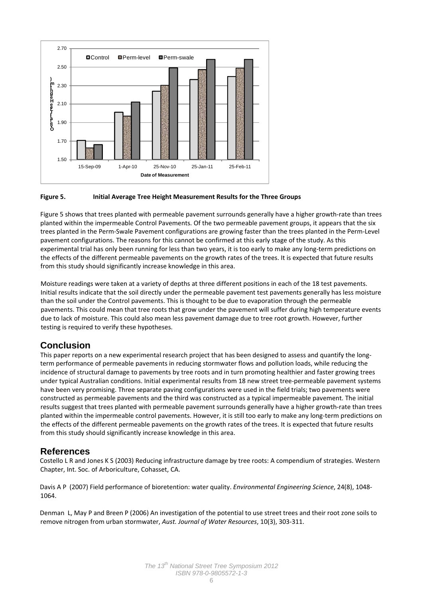![](_page_5_Figure_0.jpeg)

#### **Figure 5. Initial Average Tree Height Measurement Results for the Three Groups**

Figure 5 shows that trees planted with permeable pavement surrounds generally have a higher growth‐rate than trees planted within the impermeable Control Pavements. Of the two permeable pavement groups, it appears that the six trees planted in the Perm‐Swale Pavement configurations are growing faster than the trees planted in the Perm‐Level pavement configurations. The reasons for this cannot be confirmed at this early stage of the study. As this experimental trial has only been running for less than two years, it is too early to make any long‐term predictions on the effects of the different permeable pavements on the growth rates of the trees. It is expected that future results from this study should significantly increase knowledge in this area.

Moisture readings were taken at a variety of depths at three different positions in each of the 18 test pavements. Initial results indicate that the soil directly under the permeable pavement test pavements generally has less moisture than the soil under the Control pavements. This is thought to be due to evaporation through the permeable pavements. This could mean that tree roots that grow under the pavement will suffer during high temperature events due to lack of moisture. This could also mean less pavement damage due to tree root growth. However, further testing is required to verify these hypotheses.

## **Conclusion**

This paper reports on a new experimental research project that has been designed to assess and quantify the long‐ term performance of permeable pavements in reducing stormwater flows and pollution loads, while reducing the incidence of structural damage to pavements by tree roots and in turn promoting healthier and faster growing trees under typical Australian conditions. Initial experimental results from 18 new street tree‐permeable pavement systems have been very promising. Three separate paving configurations were used in the field trials; two pavements were constructed as permeable pavements and the third was constructed as a typical impermeable pavement. The initial results suggest that trees planted with permeable pavement surrounds generally have a higher growth‐rate than trees planted within the impermeable control pavements. However, it is still too early to make any long‐term predictions on the effects of the different permeable pavements on the growth rates of the trees. It is expected that future results from this study should significantly increase knowledge in this area.

### **References**

Costello L R and Jones K S (2003) Reducing infrastructure damage by tree roots: A compendium of strategies. Western Chapter, Int. Soc. of Arboriculture, Cohasset, CA.

Davis A P (2007) Field performance of bioretention: water quality. *Environmental Engineering Science*, 24(8), 1048‐ 1064.

Denman L, May P and Breen P (2006) An investigation of the potential to use street trees and their root zone soils to remove nitrogen from urban stormwater, *Aust. Journal of Water Resources*, 10(3), 303‐311.